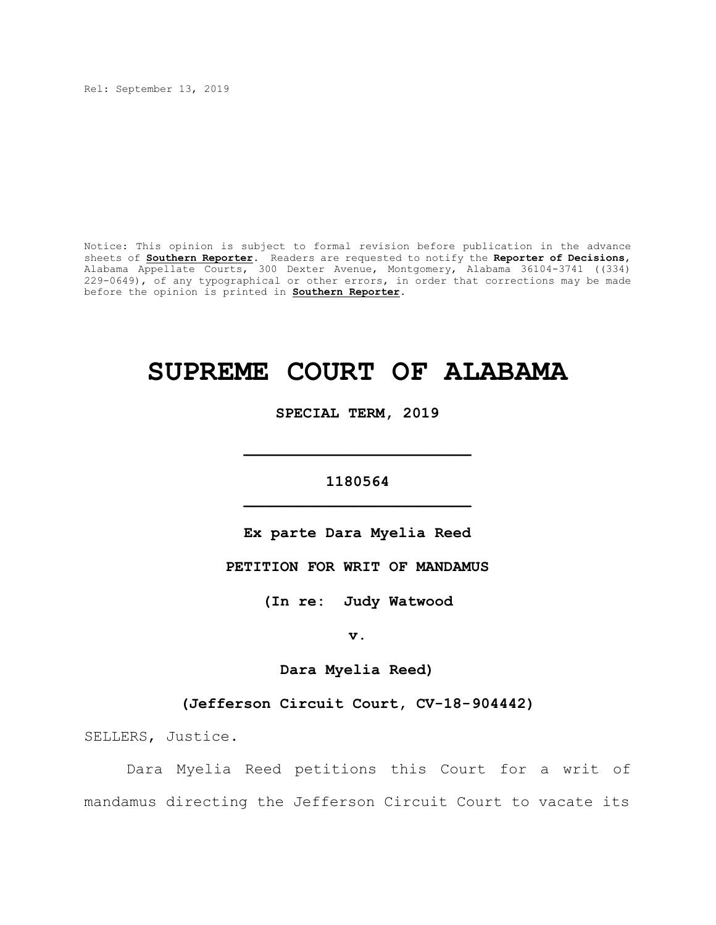Rel: September 13, 2019

Notice: This opinion is subject to formal revision before publication in the advance sheets of **Southern Reporter**. Readers are requested to notify the **Reporter of Decisions**, Alabama Appellate Courts, 300 Dexter Avenue, Montgomery, Alabama 36104-3741 ((334) 229-0649), of any typographical or other errors, in order that corrections may be made before the opinion is printed in **Southern Reporter**.

# **SUPREME COURT OF ALABAMA**

**SPECIAL TERM, 2019**

# **1180564 \_\_\_\_\_\_\_\_\_\_\_\_\_\_\_\_\_\_\_\_\_\_\_\_\_**

**\_\_\_\_\_\_\_\_\_\_\_\_\_\_\_\_\_\_\_\_\_\_\_\_\_**

**Ex parte Dara Myelia Reed**

**PETITION FOR WRIT OF MANDAMUS**

**(In re: Judy Watwood**

**v.**

**Dara Myelia Reed)**

**(Jefferson Circuit Court, CV-18-904442)**

SELLERS, Justice.

Dara Myelia Reed petitions this Court for a writ of mandamus directing the Jefferson Circuit Court to vacate its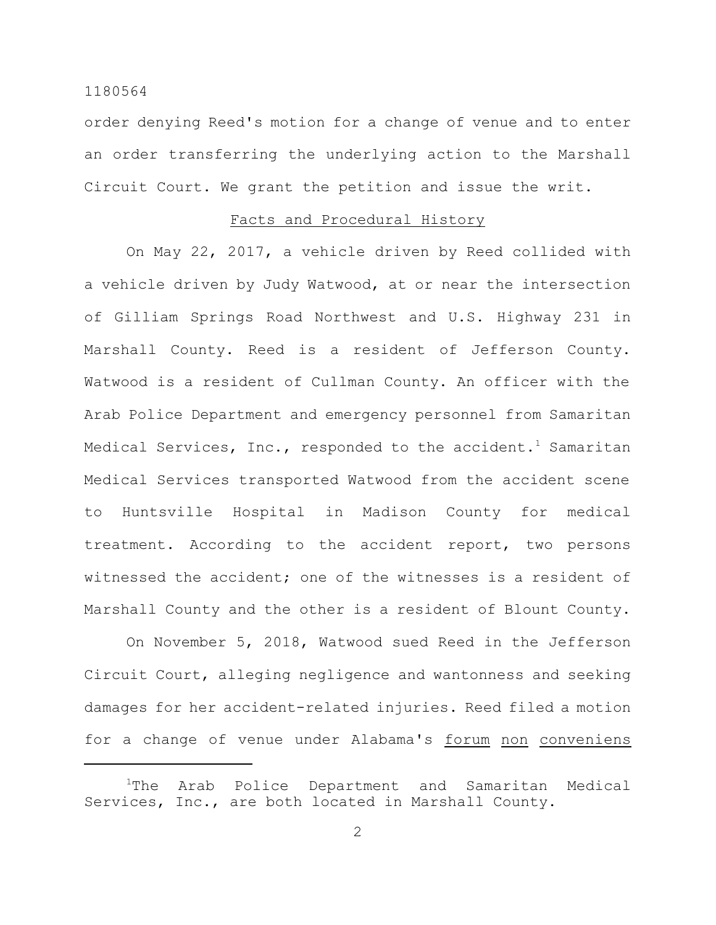order denying Reed's motion for a change of venue and to enter an order transferring the underlying action to the Marshall Circuit Court. We grant the petition and issue the writ.

### Facts and Procedural History

On May 22, 2017, a vehicle driven by Reed collided with a vehicle driven by Judy Watwood, at or near the intersection of Gilliam Springs Road Northwest and U.S. Highway 231 in Marshall County. Reed is a resident of Jefferson County. Watwood is a resident of Cullman County. An officer with the Arab Police Department and emergency personnel from Samaritan Medical Services, Inc., responded to the accident.<sup>1</sup> Samaritan Medical Services transported Watwood from the accident scene to Huntsville Hospital in Madison County for medical treatment. According to the accident report, two persons witnessed the accident; one of the witnesses is a resident of Marshall County and the other is a resident of Blount County.

On November 5, 2018, Watwood sued Reed in the Jefferson Circuit Court, alleging negligence and wantonness and seeking damages for her accident-related injuries. Reed filed a motion for a change of venue under Alabama's forum non conveniens

<sup>&</sup>lt;sup>1</sup>The Arab Police Department and Samaritan Medical Services, Inc., are both located in Marshall County.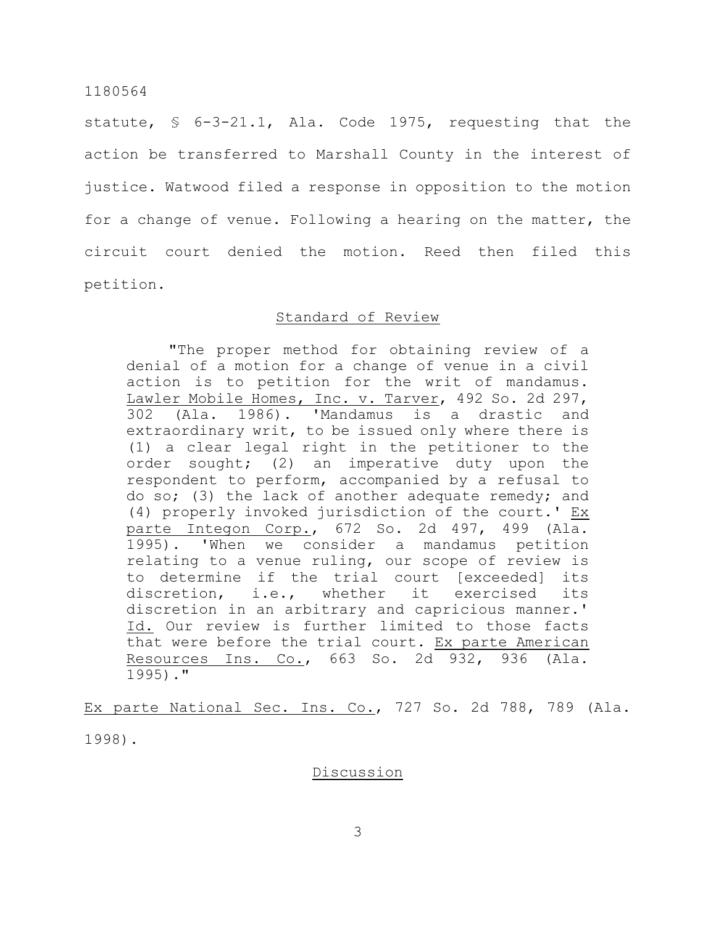statute, § 6-3-21.1, Ala. Code 1975, requesting that the action be transferred to Marshall County in the interest of justice. Watwood filed a response in opposition to the motion for a change of venue. Following a hearing on the matter, the circuit court denied the motion. Reed then filed this petition.

## Standard of Review

"The proper method for obtaining review of a denial of a motion for a change of venue in a civil action is to petition for the writ of mandamus. Lawler Mobile Homes, Inc. v. Tarver, 492 So. 2d 297, 302 (Ala. 1986). 'Mandamus is a drastic and extraordinary writ, to be issued only where there is (1) a clear legal right in the petitioner to the order sought; (2) an imperative duty upon the respondent to perform, accompanied by a refusal to do so; (3) the lack of another adequate remedy; and (4) properly invoked jurisdiction of the court.' Ex parte Integon Corp., 672 So. 2d 497, 499 (Ala. 1995). 'When we consider a mandamus petition relating to a venue ruling, our scope of review is to determine if the trial court [exceeded] its discretion, i.e., whether it exercised its discretion in an arbitrary and capricious manner.' Id. Our review is further limited to those facts that were before the trial court. Ex parte American Resources Ins. Co., 663 So. 2d 932, 936 (Ala. 1995)."

Ex parte National Sec. Ins. Co., 727 So. 2d 788, 789 (Ala. 1998).

Discussion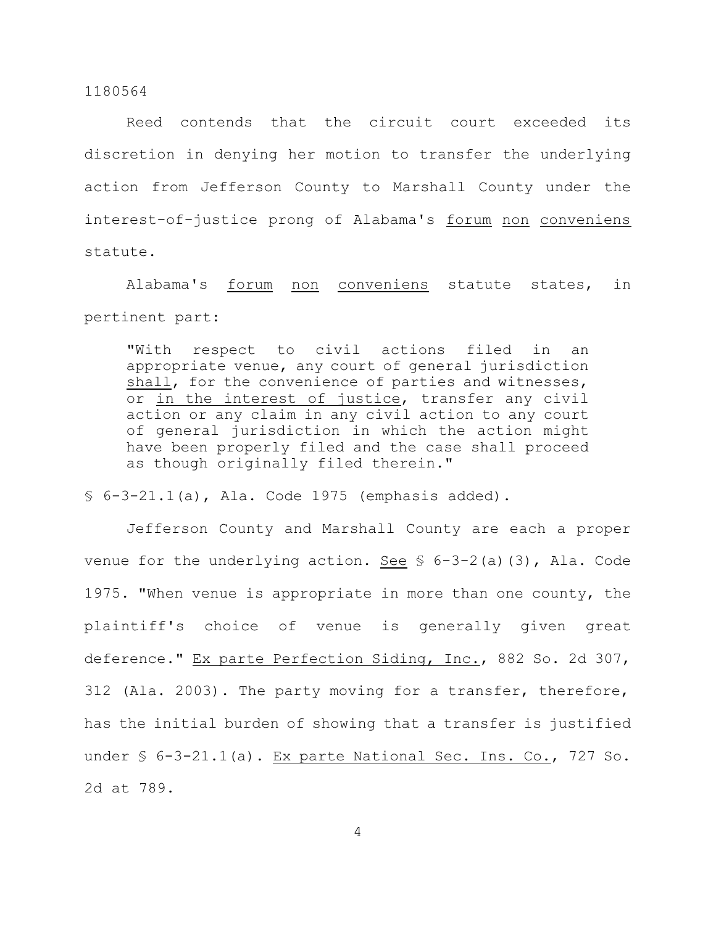Reed contends that the circuit court exceeded its discretion in denying her motion to transfer the underlying action from Jefferson County to Marshall County under the interest-of-justice prong of Alabama's forum non conveniens statute.

Alabama's forum non conveniens statute states, in pertinent part:

"With respect to civil actions filed in an appropriate venue, any court of general jurisdiction shall, for the convenience of parties and witnesses, or in the interest of justice, transfer any civil action or any claim in any civil action to any court of general jurisdiction in which the action might have been properly filed and the case shall proceed as though originally filed therein."

 $$6-3-21.1(a)$ , Ala. Code 1975 (emphasis added).

Jefferson County and Marshall County are each a proper venue for the underlying action. See  $\S$  6-3-2(a)(3), Ala. Code 1975. "When venue is appropriate in more than one county, the plaintiff's choice of venue is generally given great deference." Ex parte Perfection Siding, Inc., 882 So. 2d 307, 312 (Ala. 2003). The party moving for a transfer, therefore, has the initial burden of showing that a transfer is justified under § 6-3-21.1(a). Ex parte National Sec. Ins. Co., 727 So. 2d at 789.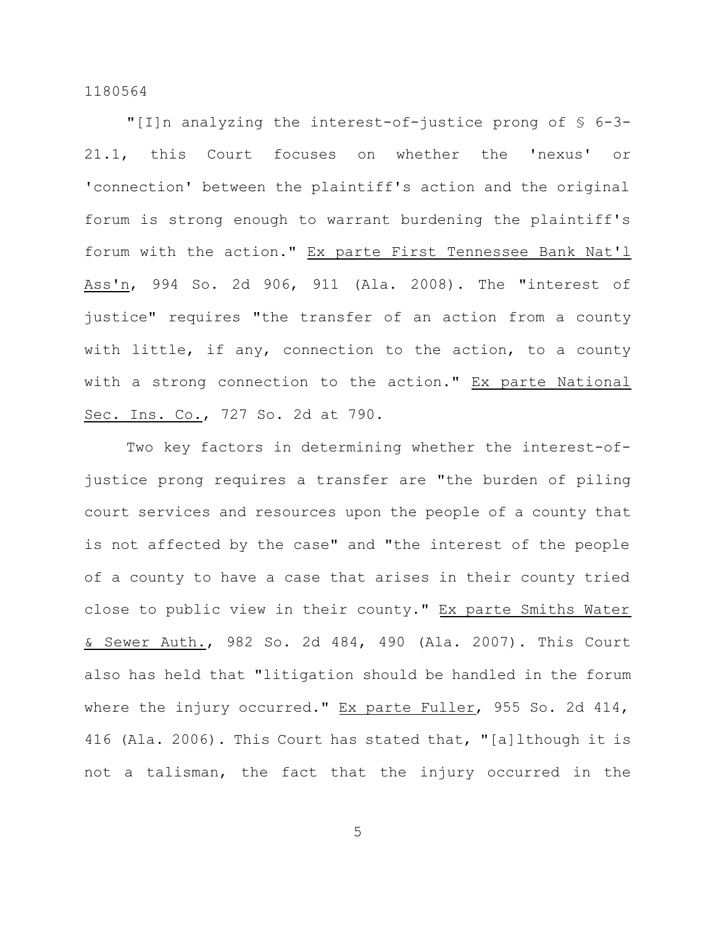"[I]n analyzing the interest-of-justice prong of § 6-3- 21.1, this Court focuses on whether the 'nexus' or 'connection' between the plaintiff's action and the original forum is strong enough to warrant burdening the plaintiff's forum with the action." Ex parte First Tennessee Bank Nat'l Ass'n, 994 So. 2d 906, 911 (Ala. 2008). The "interest of justice" requires "the transfer of an action from a county with little, if any, connection to the action, to a county with a strong connection to the action." Ex parte National Sec. Ins. Co., 727 So. 2d at 790.

Two key factors in determining whether the interest-ofjustice prong requires a transfer are "the burden of piling court services and resources upon the people of a county that is not affected by the case" and "the interest of the people of a county to have a case that arises in their county tried close to public view in their county." Ex parte Smiths Water & Sewer Auth., 982 So. 2d 484, 490 (Ala. 2007). This Court also has held that "litigation should be handled in the forum where the injury occurred." Ex parte Fuller, 955 So. 2d 414, 416 (Ala. 2006). This Court has stated that, "[a]lthough it is not a talisman, the fact that the injury occurred in the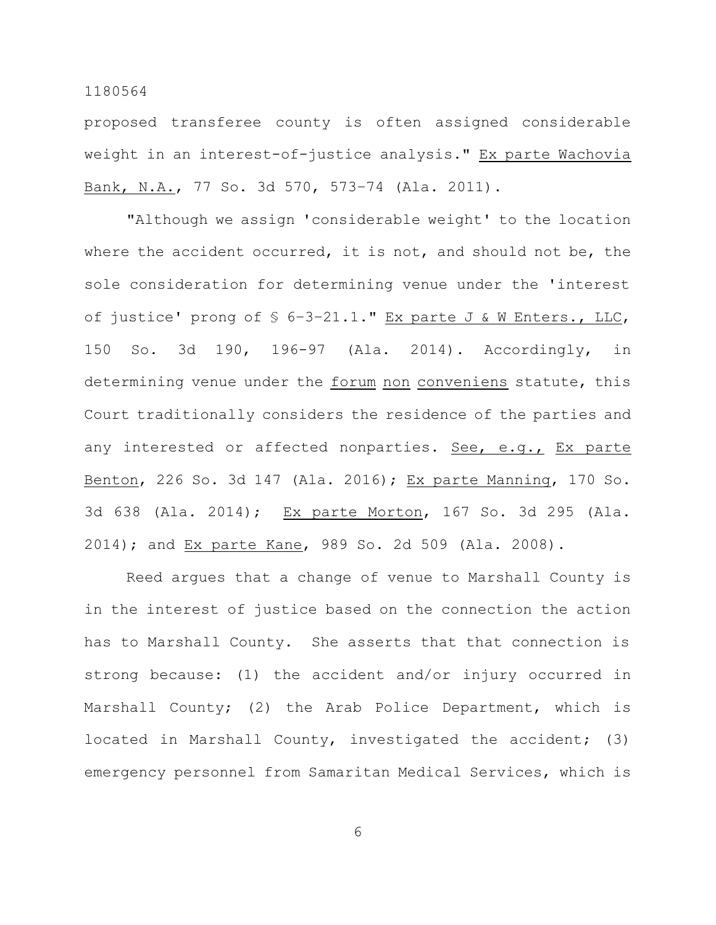proposed transferee county is often assigned considerable weight in an interest-of-justice analysis." Ex parte Wachovia Bank, N.A., 77 So. 3d 570, 573–74 (Ala. 2011).

"Although we assign 'considerable weight' to the location where the accident occurred, it is not, and should not be, the sole consideration for determining venue under the 'interest of justice' prong of  $S$  6-3-21.1." Ex parte J & W Enters., LLC, 150 So. 3d 190, 196-97 (Ala. 2014). Accordingly, in determining venue under the forum non conveniens statute, this Court traditionally considers the residence of the parties and any interested or affected nonparties. See, e.g., Ex parte Benton, 226 So. 3d 147 (Ala. 2016); Ex parte Manning, 170 So. 3d 638 (Ala. 2014); Ex parte Morton, 167 So. 3d 295 (Ala. 2014); and Ex parte Kane, 989 So. 2d 509 (Ala. 2008).

Reed argues that a change of venue to Marshall County is in the interest of justice based on the connection the action has to Marshall County. She asserts that that connection is strong because: (1) the accident and/or injury occurred in Marshall County; (2) the Arab Police Department, which is located in Marshall County, investigated the accident; (3) emergency personnel from Samaritan Medical Services, which is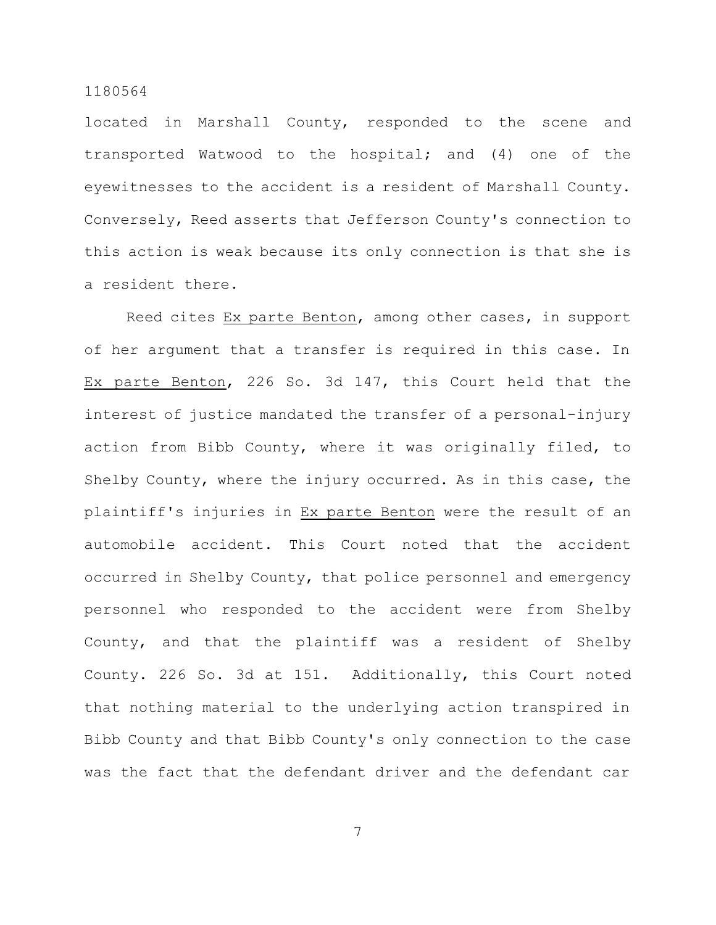located in Marshall County, responded to the scene and transported Watwood to the hospital; and (4) one of the eyewitnesses to the accident is a resident of Marshall County. Conversely, Reed asserts that Jefferson County's connection to this action is weak because its only connection is that she is a resident there.

Reed cites Ex parte Benton, among other cases, in support of her argument that a transfer is required in this case. In Ex parte Benton, 226 So. 3d 147, this Court held that the interest of justice mandated the transfer of a personal-injury action from Bibb County, where it was originally filed, to Shelby County, where the injury occurred. As in this case, the plaintiff's injuries in Ex parte Benton were the result of an automobile accident. This Court noted that the accident occurred in Shelby County, that police personnel and emergency personnel who responded to the accident were from Shelby County, and that the plaintiff was a resident of Shelby County. 226 So. 3d at 151. Additionally, this Court noted that nothing material to the underlying action transpired in Bibb County and that Bibb County's only connection to the case was the fact that the defendant driver and the defendant car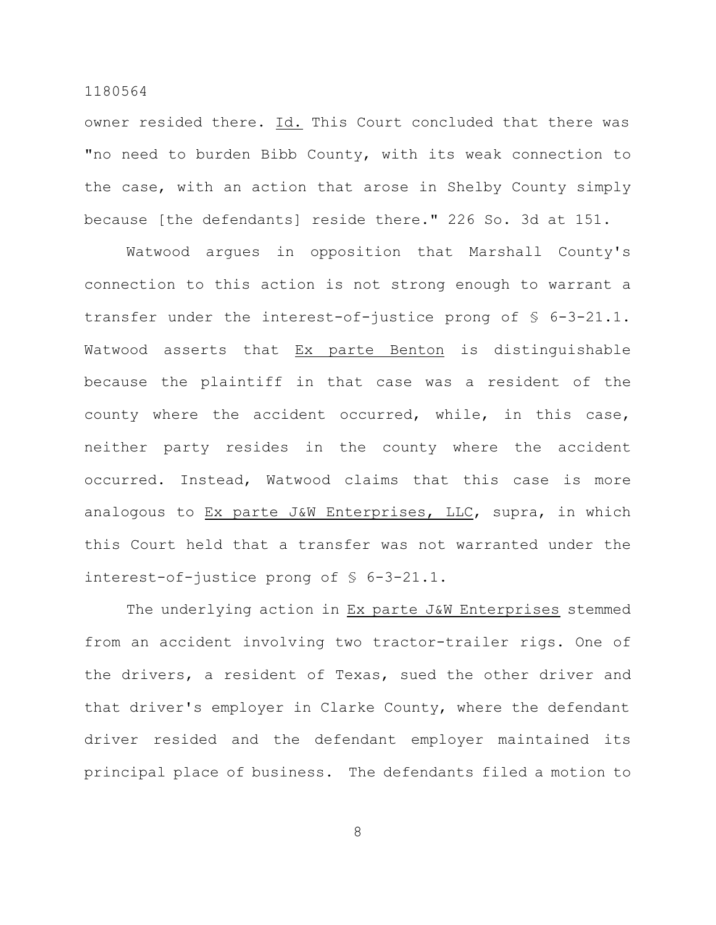owner resided there. Id. This Court concluded that there was "no need to burden Bibb County, with its weak connection to the case, with an action that arose in Shelby County simply because [the defendants] reside there." 226 So. 3d at 151.

Watwood argues in opposition that Marshall County's connection to this action is not strong enough to warrant a transfer under the interest-of-justice prong of § 6-3-21.1. Watwood asserts that Ex parte Benton is distinguishable because the plaintiff in that case was a resident of the county where the accident occurred, while, in this case, neither party resides in the county where the accident occurred. Instead, Watwood claims that this case is more analogous to Ex parte J&W Enterprises, LLC, supra, in which this Court held that a transfer was not warranted under the interest-of-justice prong of § 6-3-21.1.

The underlying action in Ex parte J&W Enterprises stemmed from an accident involving two tractor-trailer rigs. One of the drivers, a resident of Texas, sued the other driver and that driver's employer in Clarke County, where the defendant driver resided and the defendant employer maintained its principal place of business. The defendants filed a motion to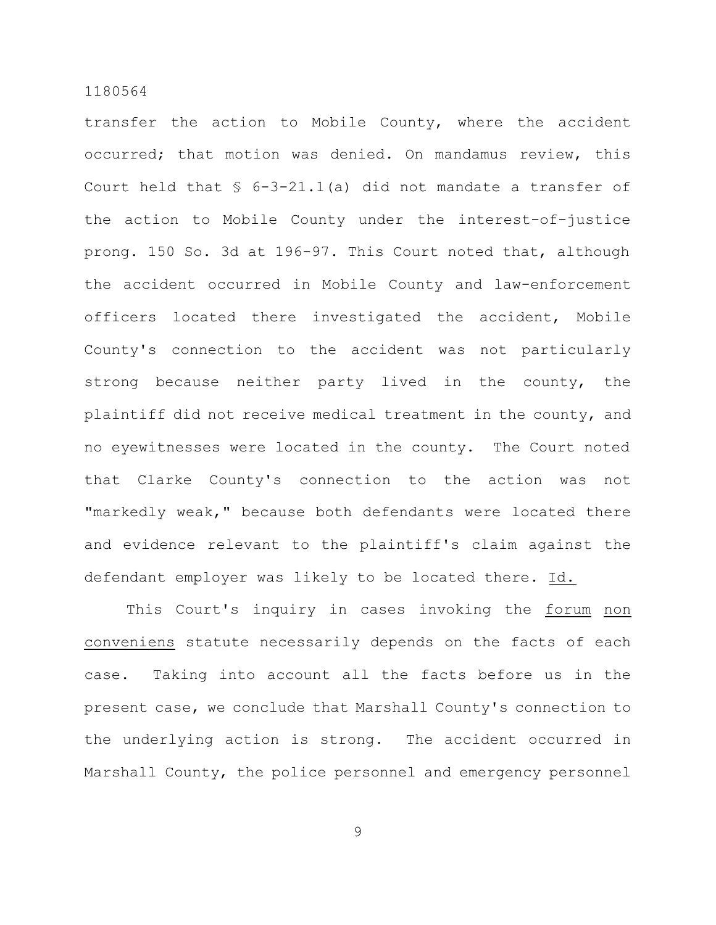transfer the action to Mobile County, where the accident occurred; that motion was denied. On mandamus review, this Court held that  $\frac{1}{5}$  6-3-21.1(a) did not mandate a transfer of the action to Mobile County under the interest-of-justice prong. 150 So. 3d at 196-97. This Court noted that, although the accident occurred in Mobile County and law-enforcement officers located there investigated the accident, Mobile County's connection to the accident was not particularly strong because neither party lived in the county, the plaintiff did not receive medical treatment in the county, and no eyewitnesses were located in the county. The Court noted that Clarke County's connection to the action was not "markedly weak," because both defendants were located there and evidence relevant to the plaintiff's claim against the defendant employer was likely to be located there. Id.

This Court's inquiry in cases invoking the forum non conveniens statute necessarily depends on the facts of each case. Taking into account all the facts before us in the present case, we conclude that Marshall County's connection to the underlying action is strong. The accident occurred in Marshall County, the police personnel and emergency personnel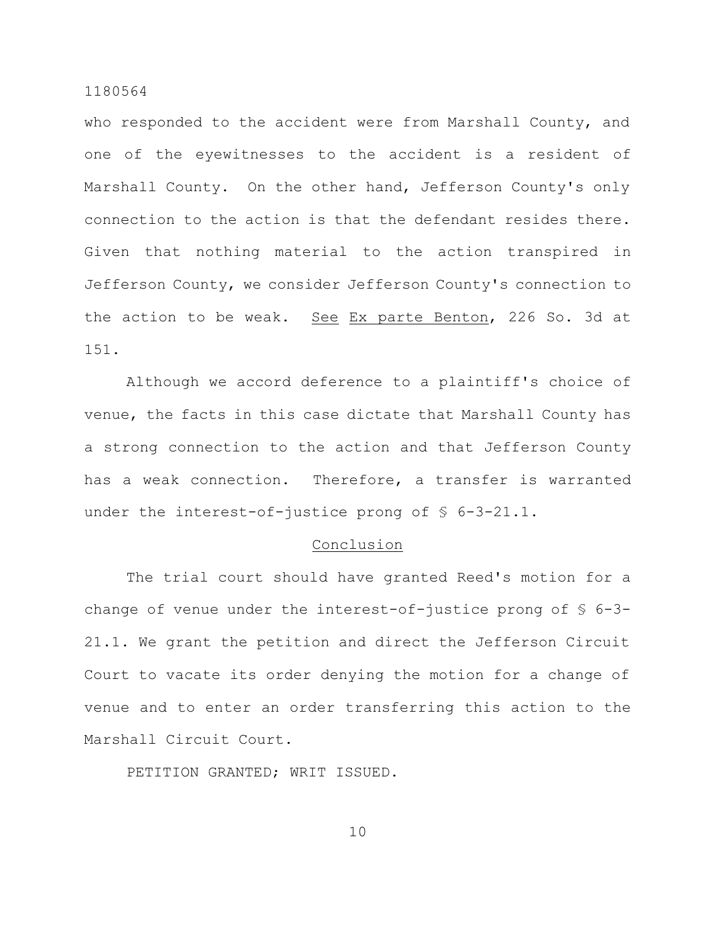who responded to the accident were from Marshall County, and one of the eyewitnesses to the accident is a resident of Marshall County. On the other hand, Jefferson County's only connection to the action is that the defendant resides there. Given that nothing material to the action transpired in Jefferson County, we consider Jefferson County's connection to the action to be weak. See Ex parte Benton, 226 So. 3d at 151.

Although we accord deference to a plaintiff's choice of venue, the facts in this case dictate that Marshall County has a strong connection to the action and that Jefferson County has a weak connection. Therefore, a transfer is warranted under the interest-of-justice prong of  $\S$  6-3-21.1.

#### **Conclusion**

The trial court should have granted Reed's motion for a change of venue under the interest-of-justice prong of § 6-3- 21.1. We grant the petition and direct the Jefferson Circuit Court to vacate its order denying the motion for a change of venue and to enter an order transferring this action to the Marshall Circuit Court.

PETITION GRANTED; WRIT ISSUED.